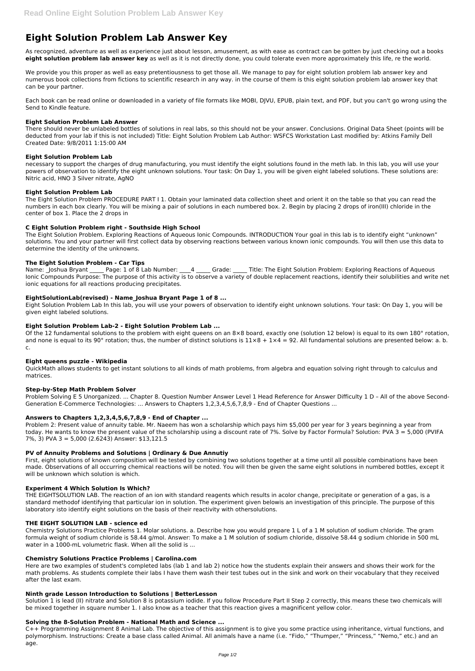# **Eight Solution Problem Lab Answer Key**

As recognized, adventure as well as experience just about lesson, amusement, as with ease as contract can be gotten by just checking out a books **eight solution problem lab answer key** as well as it is not directly done, you could tolerate even more approximately this life, re the world.

We provide you this proper as well as easy pretentiousness to get those all. We manage to pay for eight solution problem lab answer key and numerous book collections from fictions to scientific research in any way. in the course of them is this eight solution problem lab answer key that can be your partner.

Each book can be read online or downloaded in a variety of file formats like MOBI, DJVU, EPUB, plain text, and PDF, but you can't go wrong using the Send to Kindle feature.

## **Eight Solution Problem Lab Answer**

There should never be unlabeled bottles of solutions in real labs, so this should not be your answer. Conclusions. Original Data Sheet (points will be deducted from your lab if this is not included) Title: Eight Solution Problem Lab Author: WSFCS Workstation Last modified by: Atkins Family Dell Created Date: 9/8/2011 1:15:00 AM

## **Eight Solution Problem Lab**

Name: Joshua Bryant Page: 1 of 8 Lab Number: 4 Grade: Title: The Eight Solution Problem: Exploring Reactions of Aqueous Ionic Compounds Purpose: The purpose of this activity is to observe a variety of double replacement reactions, identify their solubilities and write net ionic equations for all reactions producing precipitates.

necessary to support the charges of drug manufacturing, you must identify the eight solutions found in the meth lab. In this lab, you will use your powers of observation to identify the eight unknown solutions. Your task: On Day 1, you will be given eight labeled solutions. These solutions are: Nitric acid, HNO 3 Silver nitrate, AgNO

## **Eight Solution Problem Lab**

The Eight Solution Problem PROCEDURE PART I 1. Obtain your laminated data collection sheet and orient it on the table so that you can read the numbers in each box clearly. You will be mixing a pair of solutions in each numbered box. 2. Begin by placing 2 drops of iron(III) chloride in the center of box 1. Place the 2 drops in

## **C Eight Solution Problem right - Southside High School**

The Eight Solution Problem. Exploring Reactions of Aqueous Ionic Compounds. INTRODUCTION Your goal in this lab is to identify eight "unknown" solutions. You and your partner will first collect data by observing reactions between various known ionic compounds. You will then use this data to determine the identity of the unknowns.

## **The Eight Solution Problem - Car Tips**

## **EightSolutionLab(revised) - Name\_Joshua Bryant Page 1 of 8 ...**

Eight Solution Problem Lab In this lab, you will use your powers of observation to identify eight unknown solutions. Your task: On Day 1, you will be given eight labeled solutions.

## **Eight Solution Problem Lab-2 - Eight Solution Problem Lab ...**

Solution 1 is lead (II) nitrate and Solution 8 is potassium iodide. If you follow Procedure Part II Step 2 correctly, this means these two chemicals will be mixed together in square number 1. I also know as a teacher that this reaction gives a magnificent yellow color.

Of the 12 fundamental solutions to the problem with eight queens on an 8×8 board, exactly one (solution 12 below) is equal to its own 180° rotation, and none is equal to its 90° rotation; thus, the number of distinct solutions is  $11\times8 + 1\times4 = 92$ . All fundamental solutions are presented below: a. b. c.

## **Eight queens puzzle - Wikipedia**

QuickMath allows students to get instant solutions to all kinds of math problems, from algebra and equation solving right through to calculus and matrices.

## **Step-by-Step Math Problem Solver**

Problem Solving E 5 Unorganized. ... Chapter 8. Question Number Answer Level 1 Head Reference for Answer Difficulty 1 D – All of the above Second-Generation E-Commerce Technologies: ... Answers to Chapters 1,2,3,4,5,6,7,8,9 - End of Chapter Questions ...

## **Answers to Chapters 1,2,3,4,5,6,7,8,9 - End of Chapter ...**

Problem 2: Present value of annuity table. Mr. Naeem has won a scholarship which pays him \$5,000 per year for 3 years beginning a year from today. He wants to know the present value of the scholarship using a discount rate of 7%. Solve by Factor Formula? Solution: PVA 3 = 5,000 (PVIFA 7%, 3) PVA 3 = 5,000 (2.6243) Answer: \$13,121.5

## **PV of Annuity Problems and Solutions | Ordinary & Due Annutiy**

First, eight solutions of known composition will be tested by combining two solutions together at a time until all possible combinations have been made. Observations of all occurring chemical reactions will be noted. You will then be given the same eight solutions in numbered bottles, except it will be unknown which solution is which.

## **Experiment 4 Which Solution Is Which?**

THE EIGHTSOLUTION LAB. The reaction of an ion with standard reagents which results in acolor change, precipitate or generation of a gas, is a standard methodof identifying that particular ion in solution. The experiment given belowis an investigation of this principle. The purpose of this

laboratory isto identify eight solutions on the basis of their reactivity with othersolutions.

#### **THE EIGHT SOLUTION LAB - science ed**

Chemistry Solutions Practice Problems 1. Molar solutions. a. Describe how you would prepare 1 L of a 1 M solution of sodium chloride. The gram formula weight of sodium chloride is 58.44 g/mol. Answer: To make a 1 M solution of sodium chloride, dissolve 58.44 g sodium chloride in 500 mL water in a 1000-mL volumetric flask. When all the solid is ...

#### **Chemistry Solutions Practice Problems | Carolina.com**

Here are two examples of student's completed labs (lab 1 and lab 2) notice how the students explain their answers and shows their work for the math problems. As students complete their labs I have them wash their test tubes out in the sink and work on their vocabulary that they received after the last exam.

#### **Ninth grade Lesson Introduction to Solutions | BetterLesson**

#### **Solving the 8-Solution Problem - National Math and Science ...**

C++ Programming Assignment 8 Animal Lab. The objective of this assignment is to give you some practice using inheritance, virtual functions, and polymorphism. Instructions: Create a base class called Animal. All animals have a name (i.e. "Fido," "Thumper," "Princess," "Nemo," etc.) and an age.